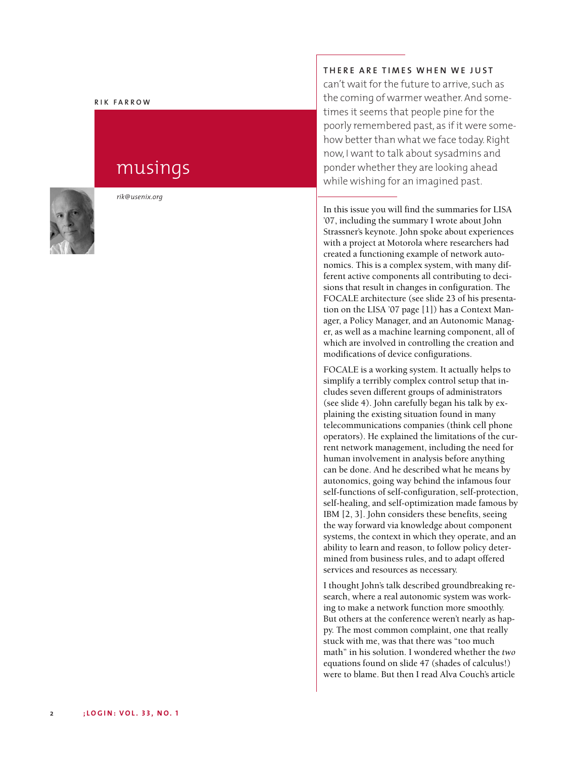### **R I K F A R R O W**

# musings



*r i k @ u s e n ix . o rg*

#### **T H E R E A R E T I M E S W H E N W E J U S T**

can't wait for the future to arrive, such as the coming of warmer weather. And sometimes it seems that people pine for the poorly remembered past, as if it were somehow better than what we face today. Right now, I want to talk about sysadmins and ponder whether they are looking ahead while wishing for an imagined past.

In this issue you will find the summaries for LISA ' 07, including the summary I wrote about John Strassner's keynote. John spoke about experiences with a project at Motorola where researchers had created a functioning example of network autonomics. This is a complex system, with many different active components all contributing to deci sions that result in changes in configuration. The FOCALE architecture (see slide 23 of his presenta tion on the LISA '07 page [1]) has a Context Man-' ager, a Policy Manager, and an Autonomic Manager, as well as a machine learning component, all of which are involved in controlling the creation and modifications of device configurations.

FOCALE is a working system. It actually helps to simplify a terribly complex control setup that includes seven different groups of administrators (see slide 4). John carefully began his talk by explaining the existing situation found in many telecommunications companies (think cell phone operators). He explained the limitations of the current network management, including the need for human involvement in analysis before anything can be done. And he described what he means by autonomics, going way behind the infamous four self-functions of self-configuration, self-protection, self-healing, and self-optimization made famous by IBM [2, 3]. John considers these benefits, seeing the way forward via knowledge about component systems, the context in which they operate, and an ability to learn and reason, to follow policy determined from business rules, and to adapt offered services and resources as necessary.

I thought John's talk described groundbreaking research, where a real autonomic system was working to make a network function more smoothly. But others at the conference weren't nearly as hap-' py. The most common complaint, one that really stuck with me, was that there was "too much math" in his solution. I wondered whether the two equations found on slide 47 (shades of calculus!) were to blame. But then I read Alva Couch's article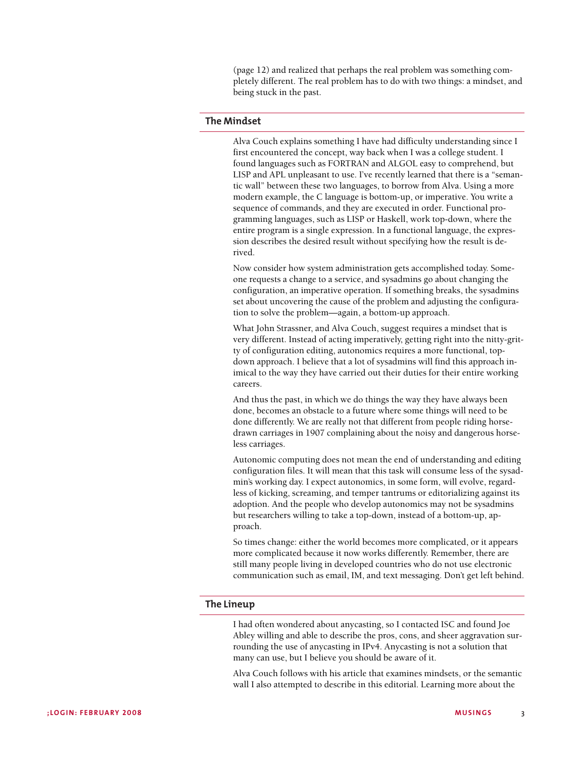(page 12) and realized that perhaps the real problem was something completely different. The real problem has to do with two things: a mindset, and being stuck in the past.

# **The Mindset**

Alva Couch explains something I have had difficulty understanding since I first encountered the concept, way back when I was a college student. I found languages such as FORTRAN and ALGOL easy to comprehend, but LISP and APL unpleasant to use. I've recently learned that there is a "semantic wall" between these two languages, to borrow from Alva. Using a more modern example, the C language is bottom-up, or imperative. You write a sequence of commands, and they are executed in order. Functional programming languages, such as LISP or Haskell, work top-down, where the entire program is a single expression. In a functional language, the expression describes the desired result without specifying how the result is derived.

Now consider how system administration gets accomplished today. Someone requests a change to a service, and sysadmins go about changing the configuration, an imperative operation. If something breaks, the sysadmins set about uncovering the cause of the problem and adjusting the configuration to solve the problem—again, a bottom-up approach.

What John Strassner, and Alva Couch, suggest requires a mindset that is very different. Instead of acting imperatively, getting right into the nitty-gritty of configuration editing, autonomics requires a more functional, topdown approach. I believe that a lot of sysadmins will find this approach inimical to the way they have carried out their duties for their entire working careers.

And thus the past, in which we do things the way they have always been done, becomes an obstacle to a future where some things will need to be done differently. We are really not that different from people riding horsedrawn carriages in 1907 complaining about the noisy and dangerous horseless carriages.

Autonomic computing does not mean the end of understanding and editing configuration files. It will mean that this task will consume less of the sysadmin's working day. I expect autonomics, in some form, will evolve, regardless of kicking, screaming, and temper tantrums or editorializing against its adoption. And the people who develop autonomics may not be sysadmins but researchers willing to take a top-down, instead of a bottom-up, approach.

So times change: either the world becomes more complicated, or it appears more complicated because it now works differently. Remember, there are still many people living in developed countries who do not use electronic communication such as email, IM, and text messaging. Don't get left behind.

## **The Lineup**

I had often wondered about anycasting, so I contacted ISC and found Joe Abley willing and able to describe the pros, cons, and sheer aggravation surrounding the use of anycasting in IPv4. Anycasting is not a solution that many can use, but I believe you should be aware of it.

Alva Couch follows with his article that examines mindsets, or the semantic wall I also attempted to describe in this editorial. Learning more about the